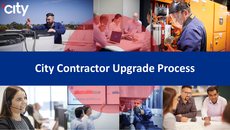

# **City Contractor Upgrade Process**

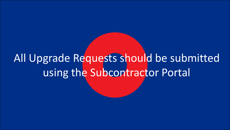# All Upgrade Requests should be submitted using the Subcontractor Portal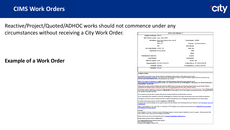

# Reactive/Project/Quoted/ADHOC works should not commence under any

circumstances without receiving a City Work Order.

#### **Example of a Work Order**

| <b>Work Order Number: 1</b>                   |                                                                       |                        |                                          |  |
|-----------------------------------------------|-----------------------------------------------------------------------|------------------------|------------------------------------------|--|
| Helpdesk Job Number: 6579114                  |                                                                       |                        |                                          |  |
| Work / Service Location: mycar - Altona 1035A |                                                                       |                        |                                          |  |
|                                               | Site Address: Altona Gate Shopping Centre, enter off<br>Millers Road. | Vendor Number: C999990 |                                          |  |
|                                               | Altona, VIC                                                           |                        | Contractor: Test Alliance Engineer       |  |
|                                               | 3025                                                                  | <b>Asset Baroode:</b>  |                                          |  |
| Site Contact Number: 03 8585 7160             |                                                                       | <b>Asset Title:</b>    |                                          |  |
|                                               | <b>Reported By: Monique Reeves</b>                                    | Make                   |                                          |  |
|                                               |                                                                       | Model:                 |                                          |  |
| <b>Field Operations Supervisor:</b>           |                                                                       | Location:              |                                          |  |
| <b>Contact Number:</b>                        |                                                                       | Serial Number:         |                                          |  |
| Method of Dispatch: Email                     |                                                                       | Priority: High         |                                          |  |
|                                               | Dispatched (AEST): 28/11/2019 3:56:03 PM                              |                        | To Attend Site by: 29/11/2019 3:56:00 PM |  |
| Created By: ReevesM                           |                                                                       |                        | To be Resolved by: 2/12/2019 3:56:00 PM  |  |
| <b>Description: Test Job</b>                  |                                                                       |                        |                                          |  |

#### **Conditions of Work**

All contractors and visitors to mycar sites are required to complete the safety induction. Further details can be found at ps://www.onlineinduction.com/mycar/. Upon arrival on site, all contractors are required to sign the contractor register at the front counter and must produce a work method statement prior to commencement of any site work.

NOTE: Once works are completed, you MUST use the CITY FM closedown web portal to close down the job at <u>s.com.au</u> whilst on-Site. If you need to contact the City Job Management Team, please call 1300 995 222 Monday to Friday between 7am and 7pm.

Please note that all jobs must be completed within either the SMART device or the web portal close down system before jobs are invoiced. Failure to complete the job closedown before invoicing will result in your invoice being rejected and may result in delay in payment.

Authorisation must be requested for all repair works likely to exceed \$500. Authorisation must be obtained prior to commencement of works. Please contact the One Stop Shop for urgent upgrade requests on 1800 040 585 and select option 4. For all other upgrade requests/queries please see Upgrade Request Form attached to the work order email.

The contractors are not permitted to accept additional work requested directly by any staff members at any time

It is the responsibility of the Contractor to check with Site Management in advance of any works commencing to ensure store curfews are adhered to.

If emergency out-of-hours works are required and there is potential associated noise, the Site Manager should elevate this to the relevant parties.

For all other general queries please contact the Helpdesk on 1300 995 222.

For full terms and conditions please see your specific contract with City Holdings or the City Holdings Terms and Conditions found at Contractor Terms And

Refer to 'OHS Obligations - For mycar Sites' for a description of OHS obligations and compliance requirements found at HSEQ-FM-135 City Contractor OHS Obligations for mycar Sites.pdf.

Upon completion of all work, Contractor to obtain Site Manager signature on service sheet and attached to invoice for payment. Please quote the Work Order Number on your invoice and not the Helpdesk Job Number.

Please email your tax invoice and relevant documents to Accounts. Payable@city-holdings.com.au

Please ensure your tax invoice is addressed to:

City Integrated Maintenance Services (Aus) Pty Ltd<br>Accounts Payable Department 10 Nexus Court, Mulgrave, Victoria 3170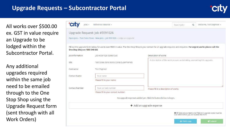## **Upgrade Requests – Subcontractor Portal**



All works over \$500.00 ex. GST in value require an Upgrade to be lodged within the Subcontractor Portal.

Any additional upgrades required within the same job need to be emailed through to the One Stop Shop using the Upgrade Request form (sent through with all Work Orders)

| $65s -$                       | Reference Material -                                                     | Welcome, Test Engineer +<br>$\alpha$<br>Search Jobs                                                                                                                       |
|-------------------------------|--------------------------------------------------------------------------|---------------------------------------------------------------------------------------------------------------------------------------------------------------------------|
|                               | Upgrade Request: Job #5591026                                            |                                                                                                                                                                           |
|                               | Open Jobs - Test Coles Store - New Jobs - Job 5591026 - Lodge an Upgrade |                                                                                                                                                                           |
| One Stop Shop on 1800 040 585 |                                                                          | Fill out the upgrade form below for works over \$500 in value. The One Stop Shop is your contact for all upgrade requests and enquiries. For urgent works please call the |
| Job Information               | job #5591026 (Called Out)                                                | Description of works                                                                                                                                                      |
| Site                          | Test Coles Store 99995 (Coles Supermarket)                               | A description of the work you are undertaking, warranting this upgrade.                                                                                                   |
| Contractor                    | Test Engineer                                                            |                                                                                                                                                                           |
| Contact Name                  | Your name                                                                |                                                                                                                                                                           |
|                               | Please fill in your name.                                                |                                                                                                                                                                           |
| Contact Number                | Your contact number                                                      | Please fill in a description of works.                                                                                                                                    |
|                               | Please fill in your contact number.                                      |                                                                                                                                                                           |
|                               |                                                                          | No upgrade expenses added yet. Click the button below to begin.                                                                                                           |
|                               |                                                                          | + Add an upgrade expense                                                                                                                                                  |
|                               |                                                                          | O All fields above need to be filled and upgrade totals must be<br>over \$500 before you can submit this form                                                             |
|                               |                                                                          | <b><i><u>d Submit</u></i></b><br><b>B</b> Print copy                                                                                                                      |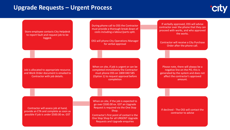### **Upgrade Requests – Urgent Process**

Store employee contacts City Helpdesk to report fault and request job to be logged.

During phone call to OSS the Contractor must provide a thorough break down of costs including a labour/parts split.

OSS will phone City Operations Manager for verbal approval

Job is allocated to appropriate resource, and Work Order document is emailed to Contractor with job details.

When on site, if job is urgent or can be completed immediately the Contractor must phone OSS on 1800 040 585 (Option 1) to request approval before completion

If verbally approved, OSS will advise contractor over the phone that they can proceed with works, and who approved the works.

Contractor will receive a City Purchase Order after the phone call.

Please note, there will always be a negative line on the PO, this is generated by the system and does not affect the contractor's approved amount.

Contractor will assess job at hand, provide an ETA and complete as soon as possible if job is under \$500.00 ex. GST

When on site, if the job is expected to go over \$500.00 ex. GST an Upgrade Request is required via the One Stop Shop.

Contractor's first point of contact is the One Stop Shop for all URGENT Upgrade Requests and Upgrade enquiries

If declined - The OSS will contact the contractor to advise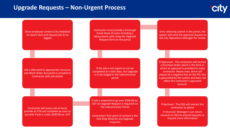### **Upgrade Requests – Non-Urgent Process**



Store employee contacts City Helpdesk to report fault and request job to be logged

Contractor must provide a thorough break down of costs including a labour/parts split using the Upgrade Request form on the portal

Job is allocated to appropriate resource, and Work Order document is emailed to Contractor with job details

If the job is not urgent or can be completed at a later date, the Upgrade is to be lodged in the Subcontractor portal

Contractor will assess job at hand, provide an ETA and complete as soon as possible if job is under \$500.00 ex. GST

If Job is expected to go over \$500.00 ex. GST an Upgrade Request is required via the Subcontractor Portal

Contractor's first point of contact is the One Stop Shop for any Upgrade enquiries

Once selecting submit in the portal, the system will send the approval request to the City Operations Manager for review

If Approved - The contractor will receive a Purchase Order which is the form in which an approval is provided to every contractor. Please note, there will always be a negative line on the PO, this is generated by the system and does not affect the contractor's approved amount.

If declined - The OSS will contact the contractor to advise

If returned- Manager's can return requests to OSS to amend requests or request more information